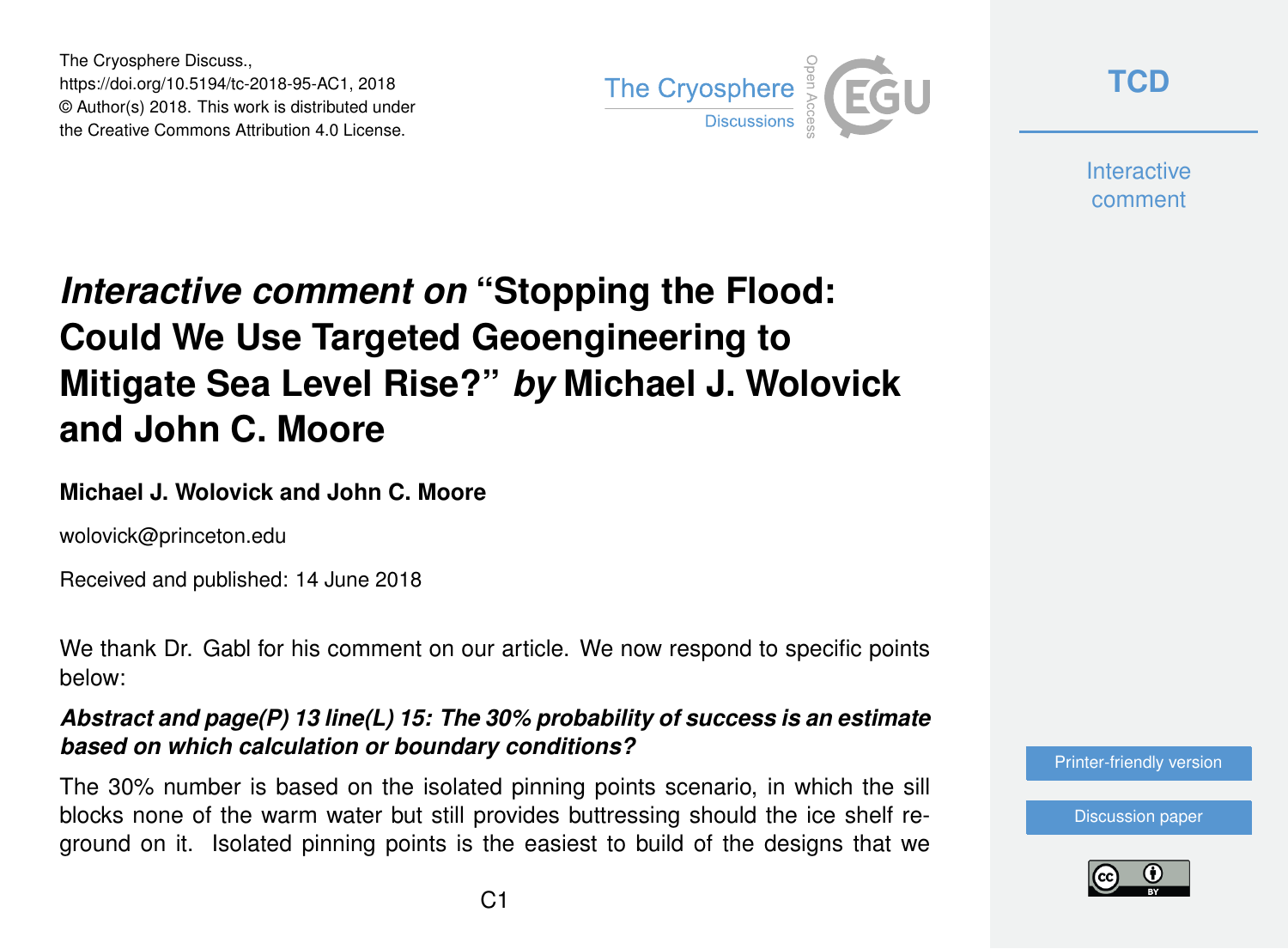The Cryosphere Discuss., https://doi.org/10.5194/tc-2018-95-AC1, 2018 © Author(s) 2018. This work is distributed under the Creative Commons Attribution 4.0 License.



**[TCD](https://www.the-cryosphere-discuss.net/)**

**Interactive** comment

# *Interactive comment on* **"Stopping the Flood: Could We Use Targeted Geoengineering to Mitigate Sea Level Rise?"** *by* **Michael J. Wolovick and John C. Moore**

## **Michael J. Wolovick and John C. Moore**

wolovick@princeton.edu

Received and published: 14 June 2018

We thank Dr. Gabl for his comment on our article. We now respond to specific points below:

*Abstract and page(P) 13 line(L) 15: The 30% probability of success is an estimate based on which calculation or boundary conditions?*

The 30% number is based on the isolated pinning points scenario, in which the sill blocks none of the warm water but still provides buttressing should the ice shelf reground on it. Isolated pinning points is the easiest to build of the designs that we



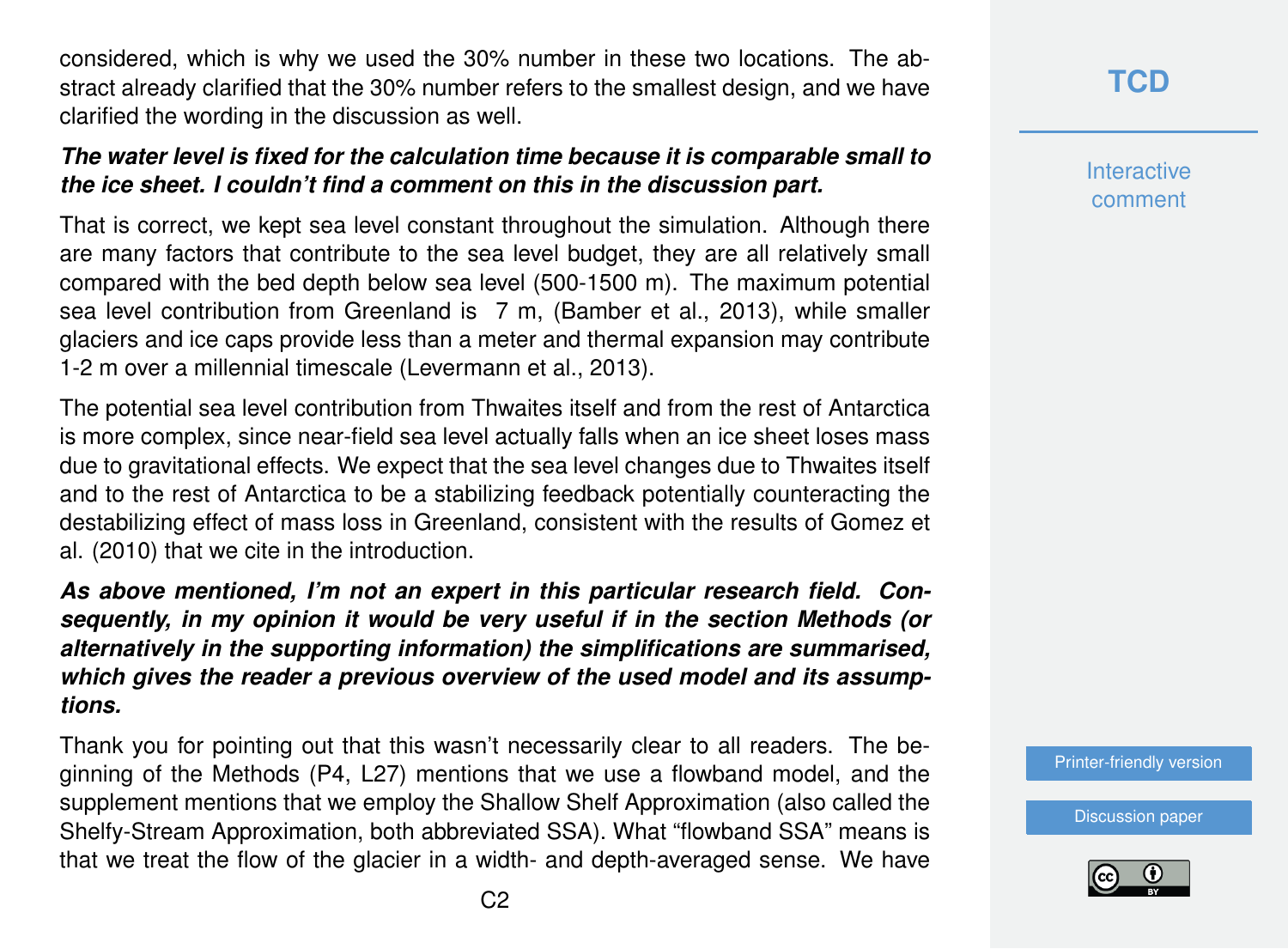considered, which is why we used the 30% number in these two locations. The abstract already clarified that the 30% number refers to the smallest design, and we have clarified the wording in the discussion as well.

### *The water level is fixed for the calculation time because it is comparable small to the ice sheet. I couldn't find a comment on this in the discussion part.*

That is correct, we kept sea level constant throughout the simulation. Although there are many factors that contribute to the sea level budget, they are all relatively small compared with the bed depth below sea level (500-1500 m). The maximum potential sea level contribution from Greenland is 7 m, (Bamber et al., 2013), while smaller glaciers and ice caps provide less than a meter and thermal expansion may contribute 1-2 m over a millennial timescale (Levermann et al., 2013).

The potential sea level contribution from Thwaites itself and from the rest of Antarctica is more complex, since near-field sea level actually falls when an ice sheet loses mass due to gravitational effects. We expect that the sea level changes due to Thwaites itself and to the rest of Antarctica to be a stabilizing feedback potentially counteracting the destabilizing effect of mass loss in Greenland, consistent with the results of Gomez et al. (2010) that we cite in the introduction.

*As above mentioned, I'm not an expert in this particular research field. Consequently, in my opinion it would be very useful if in the section Methods (or alternatively in the supporting information) the simplifications are summarised, which gives the reader a previous overview of the used model and its assumptions.*

Thank you for pointing out that this wasn't necessarily clear to all readers. The beginning of the Methods (P4, L27) mentions that we use a flowband model, and the supplement mentions that we employ the Shallow Shelf Approximation (also called the Shelfy-Stream Approximation, both abbreviated SSA). What "flowband SSA" means is that we treat the flow of the glacier in a width- and depth-averaged sense. We have **[TCD](https://www.the-cryosphere-discuss.net/)**

**Interactive** comment

[Printer-friendly version](https://www.the-cryosphere-discuss.net/tc-2018-95/tc-2018-95-AC1-print.pdf)

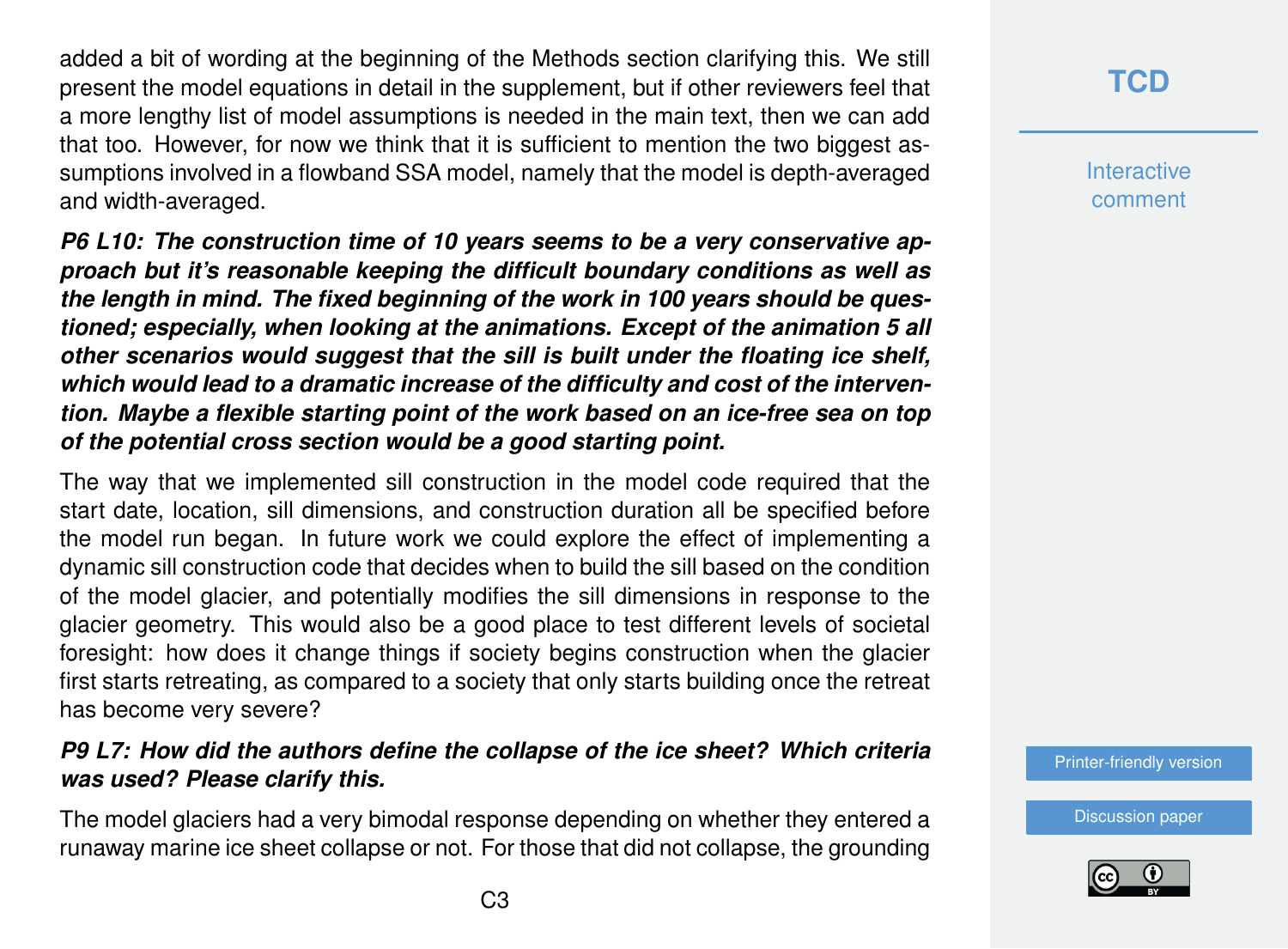added a bit of wording at the beginning of the Methods section clarifying this. We still present the model equations in detail in the supplement, but if other reviewers feel that a more lengthy list of model assumptions is needed in the main text, then we can add that too. However, for now we think that it is sufficient to mention the two biggest assumptions involved in a flowband SSA model, namely that the model is depth-averaged and width-averaged.

*P6 L10: The construction time of 10 years seems to be a very conservative approach but it's reasonable keeping the difficult boundary conditions as well as the length in mind. The fixed beginning of the work in 100 years should be questioned; especially, when looking at the animations. Except of the animation 5 all other scenarios would suggest that the sill is built under the floating ice shelf, which would lead to a dramatic increase of the difficulty and cost of the intervention. Maybe a flexible starting point of the work based on an ice-free sea on top of the potential cross section would be a good starting point.*

The way that we implemented sill construction in the model code required that the start date, location, sill dimensions, and construction duration all be specified before the model run began. In future work we could explore the effect of implementing a dynamic sill construction code that decides when to build the sill based on the condition of the model glacier, and potentially modifies the sill dimensions in response to the glacier geometry. This would also be a good place to test different levels of societal foresight: how does it change things if society begins construction when the glacier first starts retreating, as compared to a society that only starts building once the retreat has become very severe?

### *P9 L7: How did the authors define the collapse of the ice sheet? Which criteria was used? Please clarify this.*

The model glaciers had a very bimodal response depending on whether they entered a runaway marine ice sheet collapse or not. For those that did not collapse, the grounding

# **[TCD](https://www.the-cryosphere-discuss.net/)**

**Interactive** comment

[Printer-friendly version](https://www.the-cryosphere-discuss.net/tc-2018-95/tc-2018-95-AC1-print.pdf)

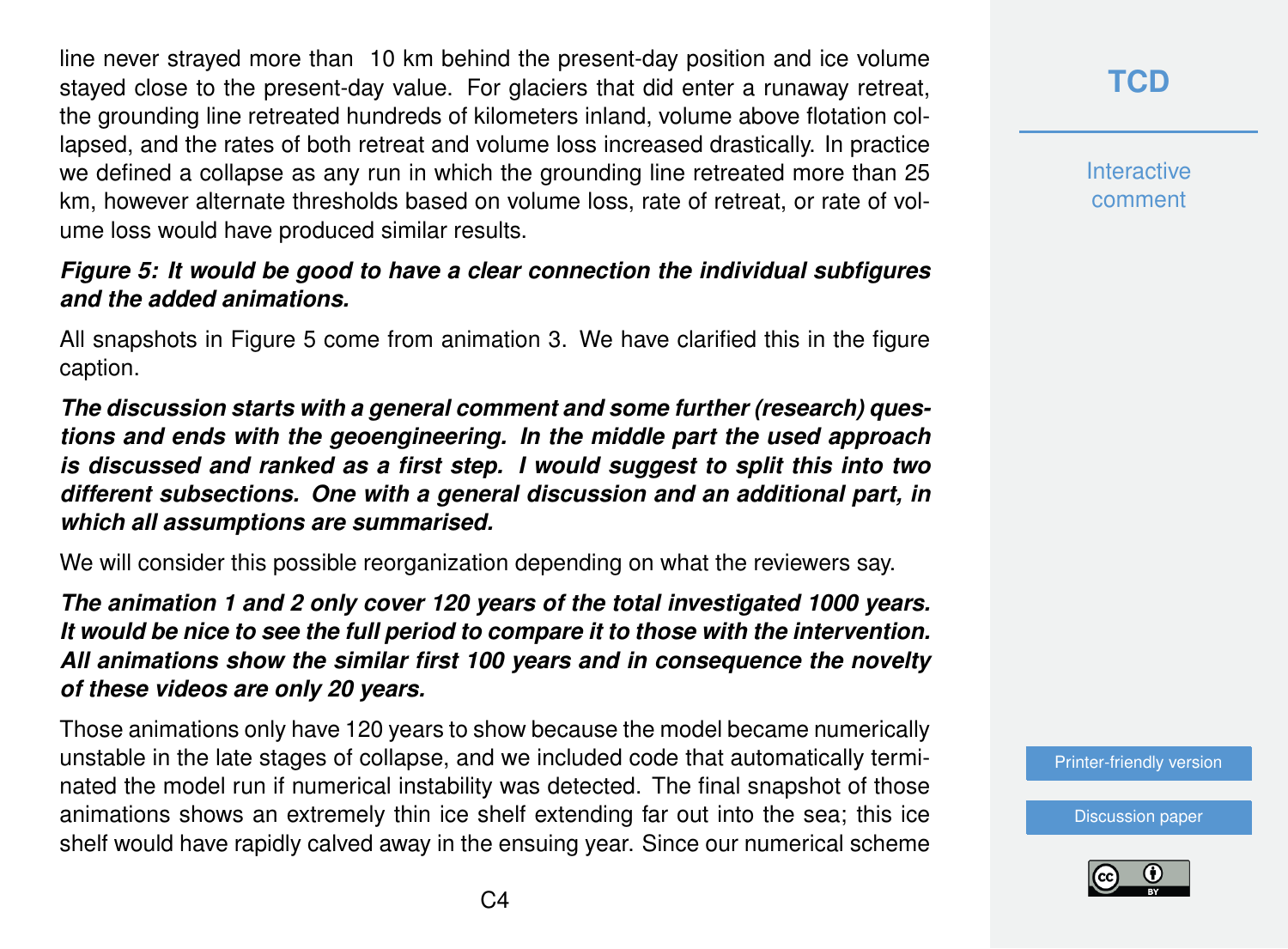line never strayed more than 10 km behind the present-day position and ice volume stayed close to the present-day value. For glaciers that did enter a runaway retreat, the grounding line retreated hundreds of kilometers inland, volume above flotation collapsed, and the rates of both retreat and volume loss increased drastically. In practice we defined a collapse as any run in which the grounding line retreated more than 25 km, however alternate thresholds based on volume loss, rate of retreat, or rate of volume loss would have produced similar results.

#### *Figure 5: It would be good to have a clear connection the individual subfigures and the added animations.*

All snapshots in Figure 5 come from animation 3. We have clarified this in the figure caption.

*The discussion starts with a general comment and some further (research) questions and ends with the geoengineering. In the middle part the used approach is discussed and ranked as a first step. I would suggest to split this into two different subsections. One with a general discussion and an additional part, in which all assumptions are summarised.*

We will consider this possible reorganization depending on what the reviewers say.

*The animation 1 and 2 only cover 120 years of the total investigated 1000 years. It would be nice to see the full period to compare it to those with the intervention. All animations show the similar first 100 years and in consequence the novelty of these videos are only 20 years.*

Those animations only have 120 years to show because the model became numerically unstable in the late stages of collapse, and we included code that automatically terminated the model run if numerical instability was detected. The final snapshot of those animations shows an extremely thin ice shelf extending far out into the sea; this ice shelf would have rapidly calved away in the ensuing year. Since our numerical scheme **Interactive** comment

[Printer-friendly version](https://www.the-cryosphere-discuss.net/tc-2018-95/tc-2018-95-AC1-print.pdf)

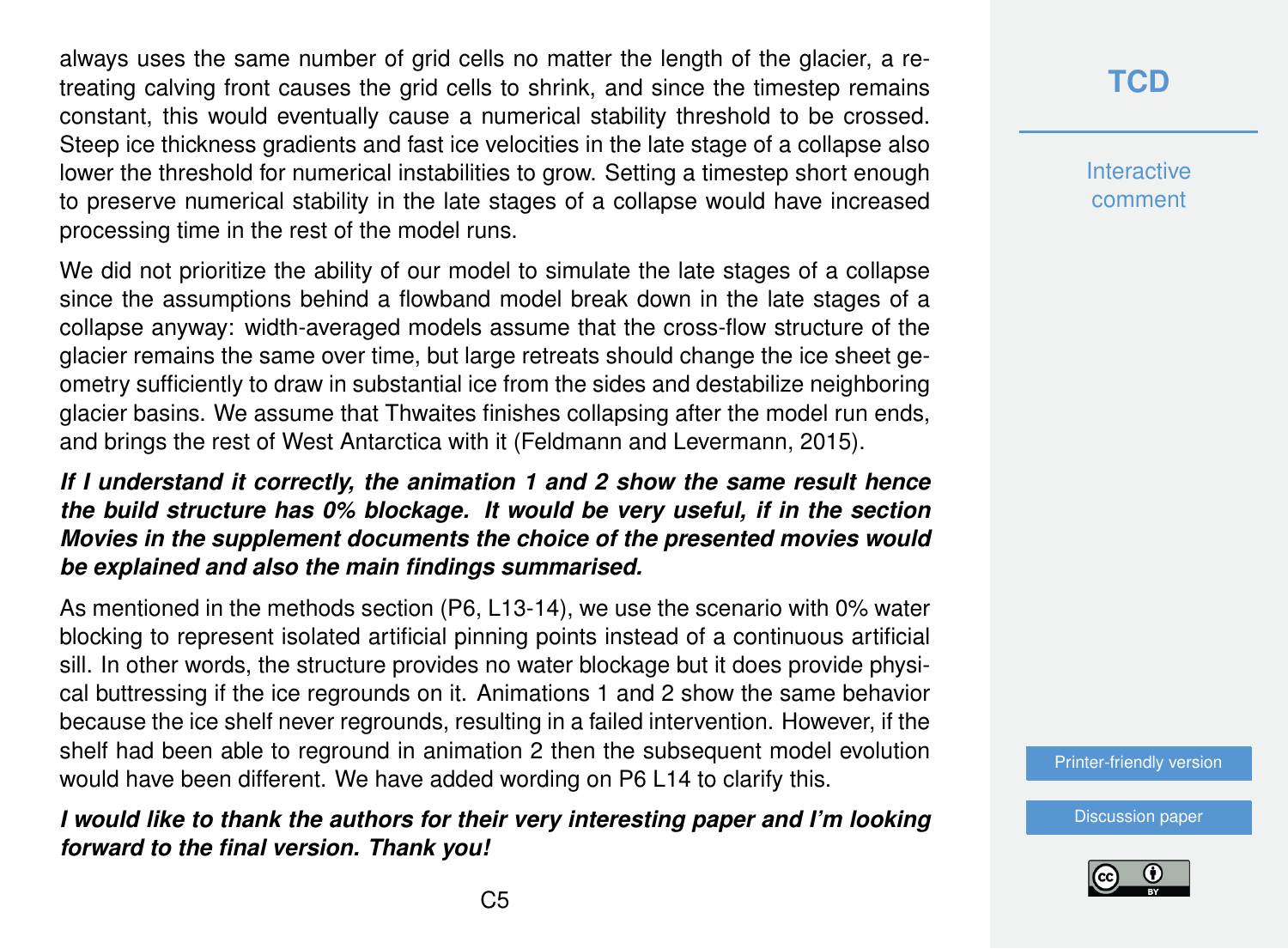always uses the same number of grid cells no matter the length of the glacier, a retreating calving front causes the grid cells to shrink, and since the timestep remains constant, this would eventually cause a numerical stability threshold to be crossed. Steep ice thickness gradients and fast ice velocities in the late stage of a collapse also lower the threshold for numerical instabilities to grow. Setting a timestep short enough to preserve numerical stability in the late stages of a collapse would have increased processing time in the rest of the model runs.

We did not prioritize the ability of our model to simulate the late stages of a collapse since the assumptions behind a flowband model break down in the late stages of a collapse anyway: width-averaged models assume that the cross-flow structure of the glacier remains the same over time, but large retreats should change the ice sheet geometry sufficiently to draw in substantial ice from the sides and destabilize neighboring glacier basins. We assume that Thwaites finishes collapsing after the model run ends, and brings the rest of West Antarctica with it (Feldmann and Levermann, 2015).

### *If I understand it correctly, the animation 1 and 2 show the same result hence the build structure has 0% blockage. It would be very useful, if in the section Movies in the supplement documents the choice of the presented movies would be explained and also the main findings summarised.*

As mentioned in the methods section (P6, L13-14), we use the scenario with 0% water blocking to represent isolated artificial pinning points instead of a continuous artificial sill. In other words, the structure provides no water blockage but it does provide physical buttressing if the ice regrounds on it. Animations 1 and 2 show the same behavior because the ice shelf never regrounds, resulting in a failed intervention. However, if the shelf had been able to reground in animation 2 then the subsequent model evolution would have been different. We have added wording on P6 L14 to clarify this.

*I would like to thank the authors for their very interesting paper and I'm looking forward to the final version. Thank you!*

# **[TCD](https://www.the-cryosphere-discuss.net/)**

**Interactive** comment

[Printer-friendly version](https://www.the-cryosphere-discuss.net/tc-2018-95/tc-2018-95-AC1-print.pdf)